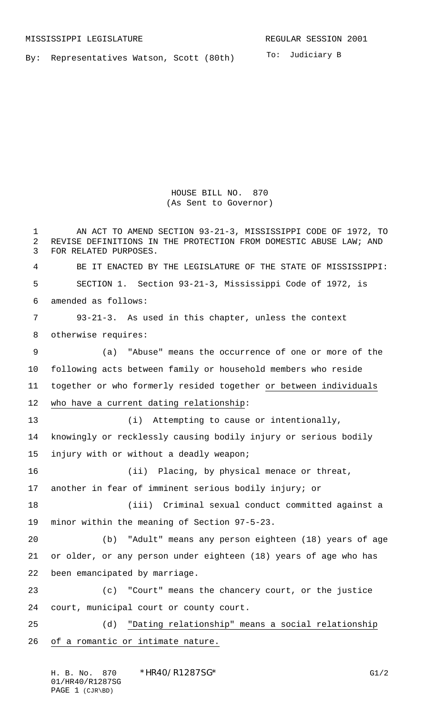By: Representatives Watson, Scott (80th)

HOUSE BILL NO. 870 (As Sent to Governor)

 AN ACT TO AMEND SECTION 93-21-3, MISSISSIPPI CODE OF 1972, TO REVISE DEFINITIONS IN THE PROTECTION FROM DOMESTIC ABUSE LAW; AND FOR RELATED PURPOSES. BE IT ENACTED BY THE LEGISLATURE OF THE STATE OF MISSISSIPPI: SECTION 1. Section 93-21-3, Mississippi Code of 1972, is amended as follows: 93-21-3. As used in this chapter, unless the context otherwise requires: (a) "Abuse" means the occurrence of one or more of the following acts between family or household members who reside together or who formerly resided together or between individuals 12 who have a current dating relationship: 13 (i) Attempting to cause or intentionally, knowingly or recklessly causing bodily injury or serious bodily injury with or without a deadly weapon; (ii) Placing, by physical menace or threat, another in fear of imminent serious bodily injury; or (iii) Criminal sexual conduct committed against a minor within the meaning of Section 97-5-23. (b) "Adult" means any person eighteen (18) years of age or older, or any person under eighteen (18) years of age who has been emancipated by marriage. (c) "Court" means the chancery court, or the justice court, municipal court or county court. (d) "Dating relationship" means a social relationship of a romantic or intimate nature.